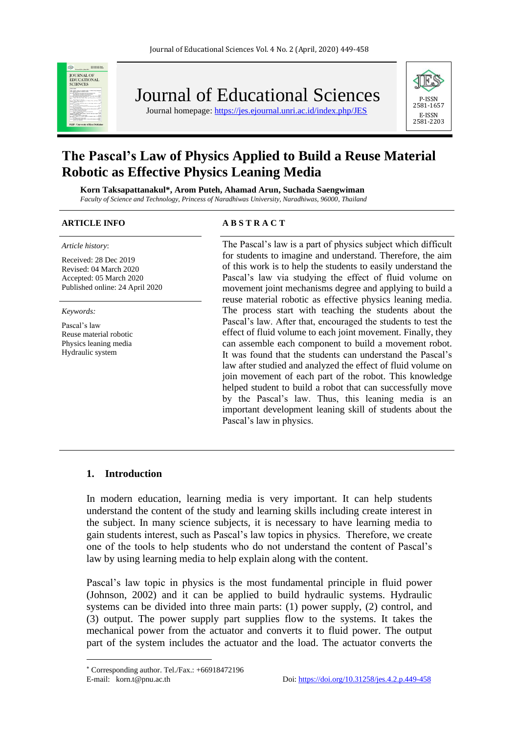

Journal of Educational Sciences

Journal homepage:<https://jes.ejournal.unri.ac.id/index.php/JES>



# **The Pascal's Law of Physics Applied to Build a Reuse Material Robotic as Effective Physics Leaning Media**

**Korn Taksapattanakul\*, Arom Puteh, Ahamad Arun, Suchada Saengwiman** *Faculty of Science and Technology, Princess of Naradhiwas University, Naradhiwas, 96000, Thailand*

*Article history*:

Received: 28 Dec 2019 Revised: 04 March 2020 Accepted: 05 March 2020 Published online: 24 April 2020

*Keywords:*

Pascal's law Reuse material robotic Physics leaning media Hydraulic system

#### **ARTICLE INFO A B S T R A C T**

The Pascal's law is a part of physics subject which difficult for students to imagine and understand. Therefore, the aim of this work is to help the students to easily understand the Pascal's law via studying the effect of fluid volume on movement joint mechanisms degree and applying to build a reuse material robotic as effective physics leaning media. The process start with teaching the students about the Pascal's law. After that, encouraged the students to test the effect of fluid volume to each joint movement. Finally, they can assemble each component to build a movement robot. It was found that the students can understand the Pascal's law after studied and analyzed the effect of fluid volume on join movement of each part of the robot. This knowledge helped student to build a robot that can successfully move by the Pascal's law. Thus, this leaning media is an important development leaning skill of students about the Pascal's law in physics.

#### **1. Introduction**

In modern education, learning media is very important. It can help students understand the content of the study and learning skills including create interest in the subject. In many science subjects, it is necessary to have learning media to gain students interest, such as Pascal's law topics in physics. Therefore, we create one of the tools to help students who do not understand the content of Pascal's law by using learning media to help explain along with the content.

Pascal's law topic in physics is the most fundamental principle in fluid power (Johnson, 2002) and it can be applied to build hydraulic systems. Hydraulic systems can be divided into three main parts: (1) power supply, (2) control, and (3) output. The power supply part supplies flow to the systems. It takes the mechanical power from the actuator and converts it to fluid power. The output part of the system includes the actuator and the load. The actuator converts the

Corresponding author. Tel./Fax.: +66918472196 E-mail: korn.t@pnu.ac.th Doi[: https://doi.org/10.31258/jes.4.2.p.449-458](https://doi.org/10.31258/jes.4.2.p.449-458)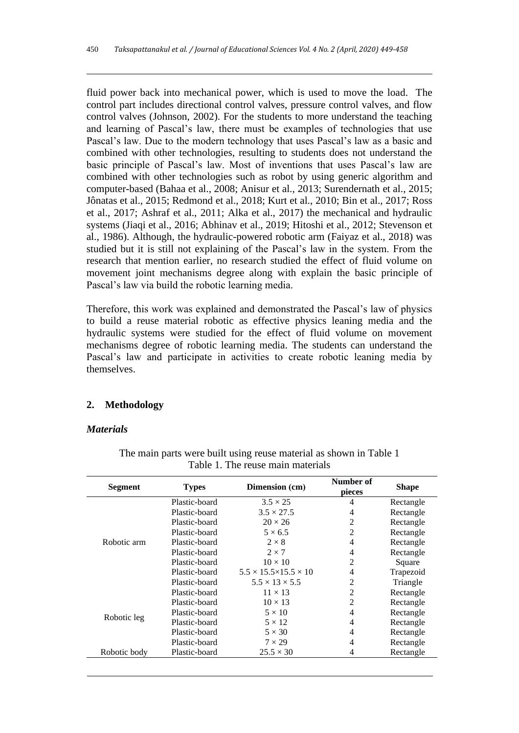fluid power back into mechanical power, which is used to move the load. The control part includes directional control valves, pressure control valves, and flow control valves (Johnson, 2002). For the students to more understand the teaching and learning of Pascal's law, there must be examples of technologies that use Pascal's law. Due to the modern technology that uses Pascal's law as a basic and combined with other technologies, resulting to students does not understand the basic principle of Pascal's law. Most of inventions that uses Pascal's law are combined with other technologies such as robot by using generic algorithm and computer-based (Bahaa et al., 2008; Anisur et al., 2013; Surendernath et al., 2015; Jônatas et al., 2015; Redmond et al., 2018; Kurt et al., 2010; Bin et al., 2017; Ross et al., 2017; Ashraf et al., 2011; Alka et al., 2017) the mechanical and hydraulic systems (Jiaqi et al., 2016; Abhinav et al., 2019; Hitoshi et al., 2012; Stevenson et al., 1986). Although, the hydraulic-powered robotic arm (Faiyaz et al., 2018) was studied but it is still not explaining of the Pascal's law in the system. From the research that mention earlier, no research studied the effect of fluid volume on movement joint mechanisms degree along with explain the basic principle of Pascal's law via build the robotic learning media.

Therefore, this work was explained and demonstrated the Pascal's law of physics to build a reuse material robotic as effective physics leaning media and the hydraulic systems were studied for the effect of fluid volume on movement mechanisms degree of robotic learning media. The students can understand the Pascal's law and participate in activities to create robotic leaning media by themselves.

#### **2. Methodology**

#### *Materials*

| <b>Segment</b> | <b>Types</b>  | Dimension (cm)                          | Number of<br>pieces | <b>Shape</b> |
|----------------|---------------|-----------------------------------------|---------------------|--------------|
| Robotic arm    | Plastic-board | $3.5 \times 25$                         | 4                   | Rectangle    |
|                | Plastic-board | $3.5 \times 27.5$                       | 4                   | Rectangle    |
|                | Plastic-board | $20 \times 26$                          | 2                   | Rectangle    |
|                | Plastic-board | $5 \times 6.5$                          | $\overline{2}$      | Rectangle    |
|                | Plastic-board | $2 \times 8$                            | 4                   | Rectangle    |
|                | Plastic-board | $2 \times 7$                            | 4                   | Rectangle    |
|                | Plastic-board | $10 \times 10$                          | $\overline{2}$      | Square       |
|                | Plastic-board | $5.5 \times 15.5 \times 15.5 \times 10$ | 4                   | Trapezoid    |
|                | Plastic-board | $5.5 \times 13 \times 5.5$              | 2                   | Triangle     |
| Robotic leg    | Plastic-board | $11 \times 13$                          | $\overline{2}$      | Rectangle    |
|                | Plastic-board | $10 \times 13$                          | 2                   | Rectangle    |
|                | Plastic-board | $5 \times 10$                           | 4                   | Rectangle    |
|                | Plastic-board | $5 \times 12$                           | 4                   | Rectangle    |
|                | Plastic-board | $5 \times 30$                           | 4                   | Rectangle    |
|                | Plastic-board | $7 \times 29$                           | 4                   | Rectangle    |
| Robotic body   | Plastic-board | $25.5 \times 30$                        | 4                   | Rectangle    |

The main parts were built using reuse material as shown in Table 1 Table 1. The reuse main materials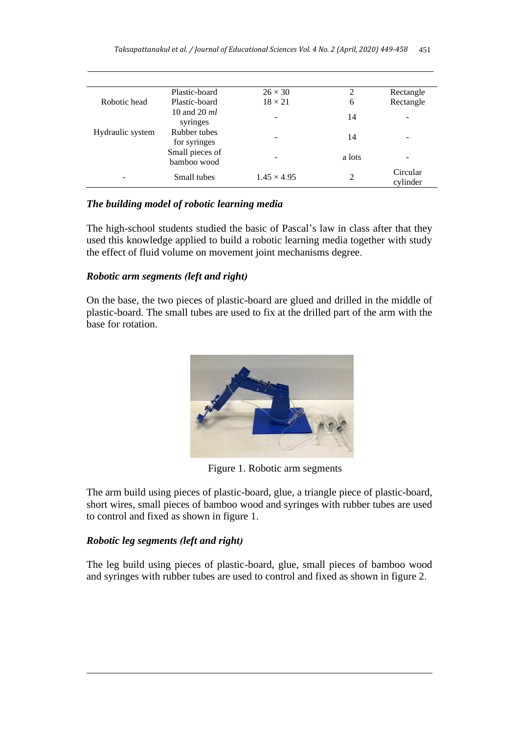|                  | Plastic-board                  | $26 \times 30$     | $\overline{c}$ | Rectangle            |
|------------------|--------------------------------|--------------------|----------------|----------------------|
| Robotic head     | Plastic-board                  | $18 \times 21$     | 6              | Rectangle            |
|                  | 10 and 20 $ml$<br>syringes     | -                  | 14             | -                    |
| Hydraulic system | Rubber tubes<br>for syringes   | ۰                  | 14             | -                    |
|                  | Small pieces of<br>bamboo wood |                    | a lots         |                      |
|                  | Small tubes                    | $1.45 \times 4.95$ | 2              | Circular<br>cylinder |

### *The building model of robotic learning media*

The high-school students studied the basic of Pascal's law in class after that they used this knowledge applied to build a robotic learning media together with study the effect of fluid volume on movement joint mechanisms degree.

### *Robotic arm segments (left and right)*

On the base, the two pieces of plastic-board are glued and drilled in the middle of plastic-board. The small tubes are used to fix at the drilled part of the arm with the base for rotation.



Figure 1. Robotic arm segments

The arm build using pieces of plastic-board, glue, a triangle piece of plastic-board, short wires, small pieces of bamboo wood and syringes with rubber tubes are used to control and fixed as shown in figure 1.

## *Robotic leg segments (left and right)*

The leg build using pieces of plastic-board, glue, small pieces of bamboo wood and syringes with rubber tubes are used to control and fixed as shown in figure 2.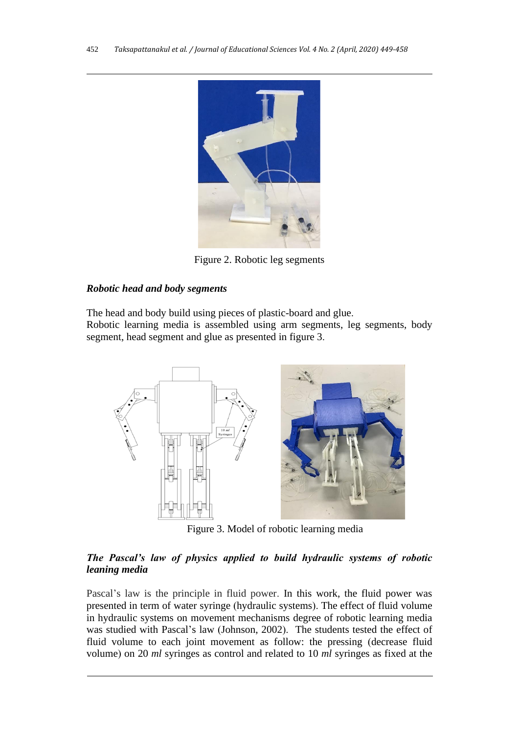

Figure 2. Robotic leg segments

# *Robotic head and body segments*

The head and body build using pieces of plastic-board and glue.

Robotic learning media is assembled using arm segments, leg segments, body segment, head segment and glue as presented in figure 3.



Figure 3. Model of robotic learning media

# *The Pascal's law of physics applied to build hydraulic systems of robotic leaning media*

Pascal's law is the principle in fluid power. In this work, the fluid power was presented in term of water syringe (hydraulic systems). The effect of fluid volume in hydraulic systems on movement mechanisms degree of robotic learning media was studied with Pascal's law (Johnson, 2002). The students tested the effect of fluid volume to each joint movement as follow: the pressing (decrease fluid volume) on 20 *ml* syringes as control and related to 10 *ml* syringes as fixed at the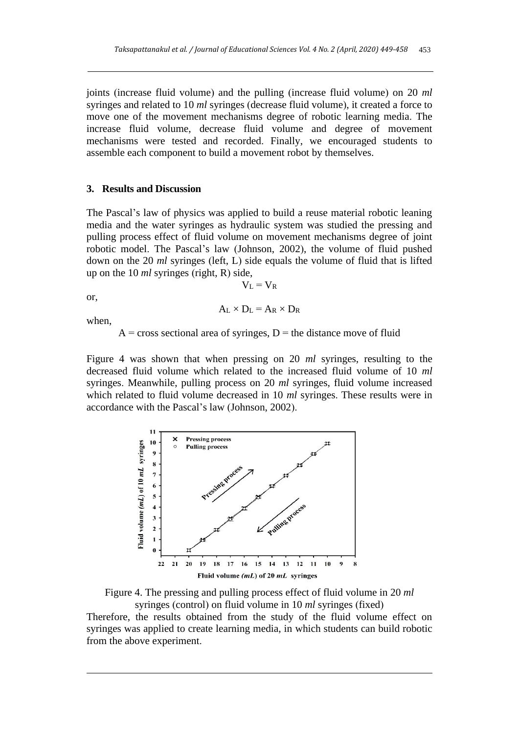joints (increase fluid volume) and the pulling (increase fluid volume) on 20 *ml* syringes and related to 10 *ml* syringes (decrease fluid volume), it created a force to move one of the movement mechanisms degree of robotic learning media. The increase fluid volume, decrease fluid volume and degree of movement mechanisms were tested and recorded. Finally, we encouraged students to assemble each component to build a movement robot by themselves.

#### **3. Results and Discussion**

The Pascal's law of physics was applied to build a reuse material robotic leaning media and the water syringes as hydraulic system was studied the pressing and pulling process effect of fluid volume on movement mechanisms degree of joint robotic model. The Pascal's law (Johnson, 2002), the volume of fluid pushed down on the 20 *ml* syringes (left, L) side equals the volume of fluid that is lifted up on the 10 *ml* syringes (right, R) side,

or,

$$
A_L \times D_L = A_R \times D_R
$$

 $V_L = V_R$ 

when,

 $A = cross sectional area of syringes, D = the distance move of fluid$ 

Figure 4 was shown that when pressing on 20 *ml* syringes, resulting to the decreased fluid volume which related to the increased fluid volume of 10 *ml* syringes. Meanwhile, pulling process on 20 *ml* syringes, fluid volume increased which related to fluid volume decreased in 10 *ml* syringes. These results were in accordance with the Pascal's law (Johnson, 2002).





Therefore, the results obtained from the study of the fluid volume effect on syringes was applied to create learning media, in which students can build robotic from the above experiment.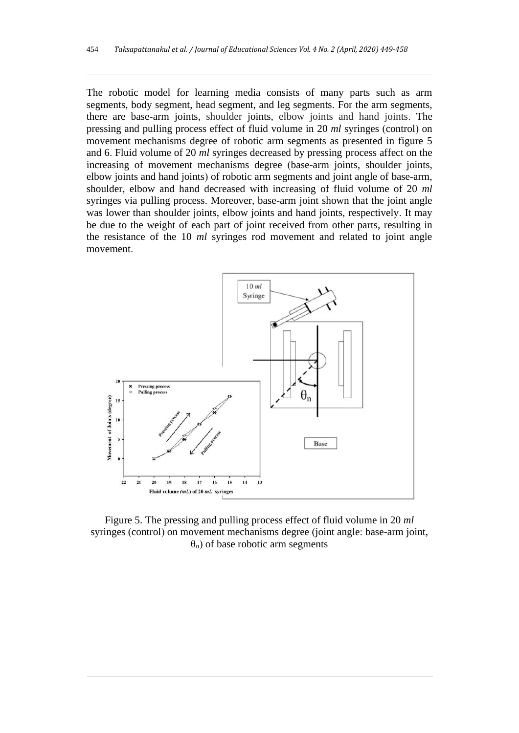The robotic model for learning media consists of many parts such as arm segments, body segment, head segment, and leg segments. For the arm segments, there are base-arm joints, shoulder joints, elbow joints and hand joints. The pressing and pulling process effect of fluid volume in 20 *ml* syringes (control) on movement mechanisms degree of robotic arm segments as presented in figure 5 and 6. Fluid volume of 20 *ml* syringes decreased by pressing process affect on the increasing of movement mechanisms degree (base-arm joints, shoulder joints, elbow joints and hand joints) of robotic arm segments and joint angle of base-arm, shoulder, elbow and hand decreased with increasing of fluid volume of 20 *ml* syringes via pulling process. Moreover, base-arm joint shown that the joint angle was lower than shoulder joints, elbow joints and hand joints, respectively. It may be due to the weight of each part of joint received from other parts, resulting in the resistance of the 10 *ml* syringes rod movement and related to joint angle movement.



Figure 5. The pressing and pulling process effect of fluid volume in 20 *ml* syringes (control) on movement mechanisms degree (joint angle: base-arm joint,  $\theta_n$ ) of base robotic arm segments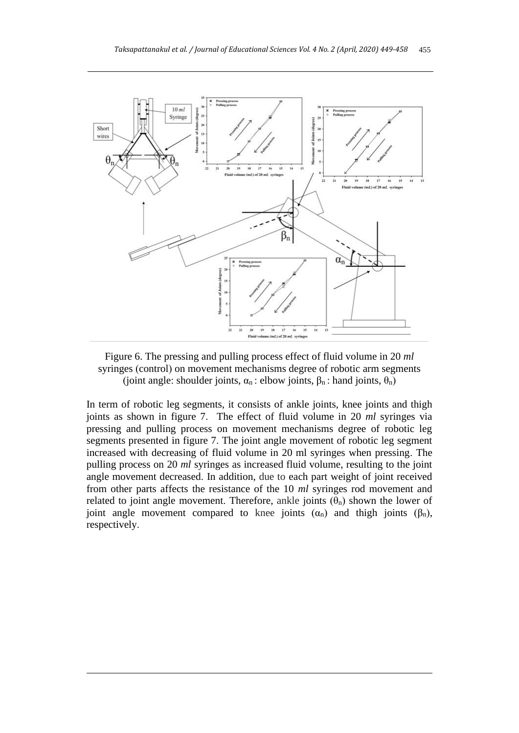

Figure 6. The pressing and pulling process effect of fluid volume in 20 *ml* syringes (control) on movement mechanisms degree of robotic arm segments (joint angle: shoulder joints,  $\alpha_n$ : elbow joints,  $\beta_n$ : hand joints,  $\theta_n$ )

In term of robotic leg segments, it consists of ankle joints, knee joints and thigh joints as shown in figure 7. The effect of fluid volume in 20 *ml* syringes via pressing and pulling process on movement mechanisms degree of robotic leg segments presented in figure 7. The joint angle movement of robotic leg segment increased with decreasing of fluid volume in 20 ml syringes when pressing. The pulling process on 20 *ml* syringes as increased fluid volume, resulting to the joint angle movement decreased. In addition, due to each part weight of joint received from other parts affects the resistance of the 10 *ml* syringes rod movement and related to joint angle movement. Therefore, ankle joints  $(\theta_n)$  shown the lower of joint angle movement compared to knee joints  $(α<sub>n</sub>)$  and thigh joints  $(β<sub>n</sub>)$ , respectively.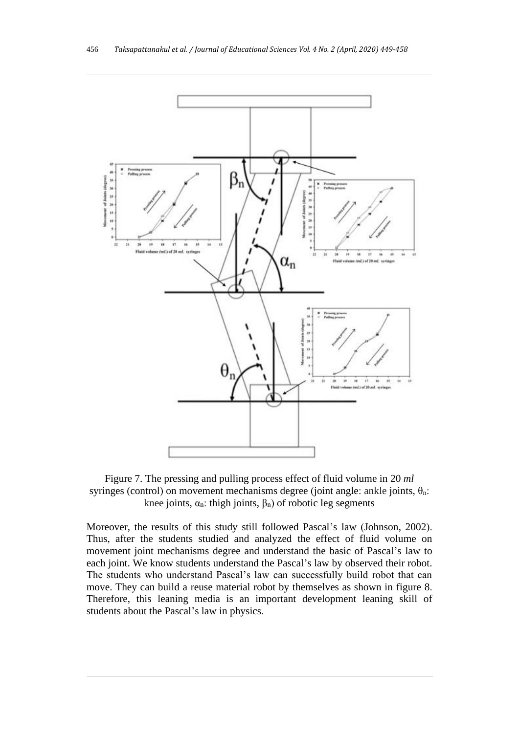



Moreover, the results of this study still followed Pascal's law (Johnson, 2002). Thus, after the students studied and analyzed the effect of fluid volume on movement joint mechanisms degree and understand the basic of Pascal's law to each joint. We know students understand the Pascal's law by observed their robot. The students who understand Pascal's law can successfully build robot that can move. They can build a reuse material robot by themselves as shown in figure 8. Therefore, this leaning media is an important development leaning skill of students about the Pascal's law in physics.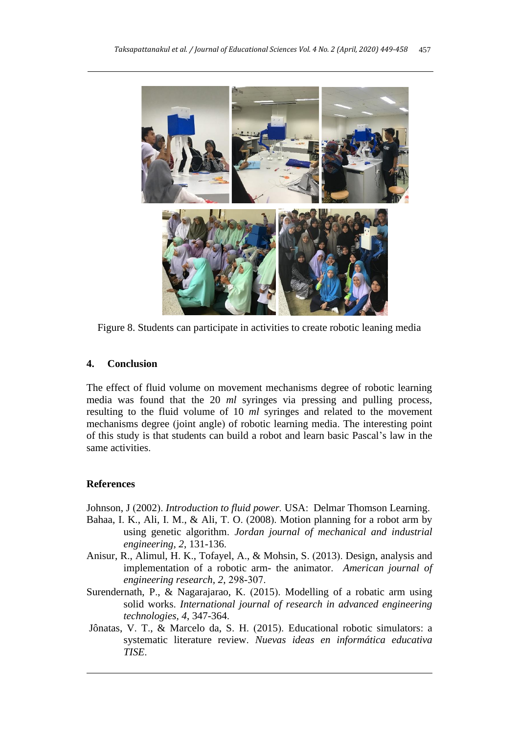

Figure 8. Students can participate in activities to create robotic leaning media

# **4. Conclusion**

The effect of fluid volume on movement mechanisms degree of robotic learning media was found that the 20 *ml* syringes via pressing and pulling process, resulting to the fluid volume of 10 *ml* syringes and related to the movement mechanisms degree (joint angle) of robotic learning media. The interesting point of this study is that students can build a robot and learn basic Pascal's law in the same activities.

# **References**

Johnson, J (2002). *Introduction to fluid power.* USA: Delmar Thomson Learning.

- Bahaa, I. K., Ali, I. M., & Ali, T. O. (2008). Motion planning for a robot arm by using genetic algorithm. *Jordan journal of mechanical and industrial engineering, 2*, 131-136.
- Anisur, R., Alimul, H. K., Tofayel, A., & Mohsin, S. (2013). Design, analysis and implementation of a robotic arm- the animator. *American journal of engineering research, 2*, 298-307.
- Surendernath, P., & Nagarajarao, K. (2015). Modelling of a robatic arm using solid works. *International journal of research in advanced engineering technologies, 4*, 347-364.
- Jônatas, V. T., & Marcelo da, S. H. (2015). Educational robotic simulators: a systematic literature review. *Nuevas ideas en informática educativa TISE*.